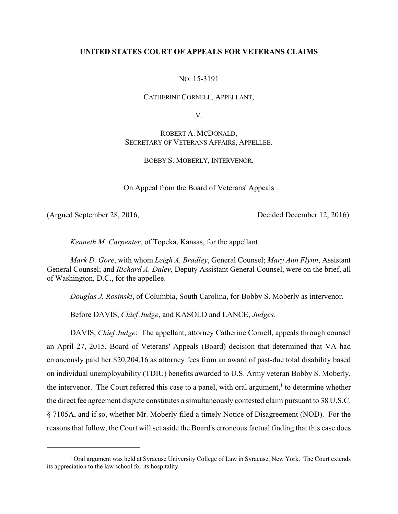## **UNITED STATES COURT OF APPEALS FOR VETERANS CLAIMS**

## NO. 15-3191

CATHERINE CORNELL, APPELLANT,

V.

# ROBERT A. MCDONALD, SECRETARY OF VETERANS AFFAIRS, APPELLEE.

## BOBBY S. MOBERLY, INTERVENOR.

On Appeal from the Board of Veterans' Appeals

(Argued September 28, 2016, Decided December 12, 2016)

*Kenneth M. Carpenter*, of Topeka, Kansas, for the appellant.

*Mark D. Gore*, with whom *Leigh A. Bradley*, General Counsel; *Mary Ann Flynn*, Assistant General Counsel; and *Richard A. Daley*, Deputy Assistant General Counsel, were on the brief, all of Washington, D.C., for the appellee.

*Douglas J. Rosinski*, of Columbia, South Carolina, for Bobby S. Moberly as intervenor.

Before DAVIS, *Chief Judge*, and KASOLD and LANCE, *Judges*.

DAVIS, *Chief Judge*: The appellant, attorney Catherine Cornell, appeals through counsel an April 27, 2015, Board of Veterans' Appeals (Board) decision that determined that VA had erroneously paid her \$20,204.16 as attorney fees from an award of past-due total disability based on individual unemployability (TDIU) benefits awarded to U.S. Army veteran Bobby S. Moberly, the intervenor. The Court referred this case to a panel, with oral argument, $\frac{1}{1}$  to determine whether the direct fee agreement dispute constitutes a simultaneously contested claim pursuant to 38 U.S.C. § 7105A, and if so, whether Mr. Moberly filed a timely Notice of Disagreement (NOD). For the reasons that follow, the Court will set aside the Board's erroneous factual finding that this case does

 $<sup>1</sup>$  Oral argument was held at Syracuse University College of Law in Syracuse, New York. The Court extends</sup> its appreciation to the law school for its hospitality.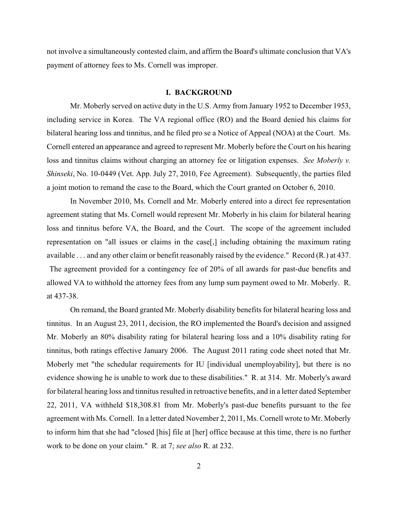not involve a simultaneously contested claim, and affirm the Board's ultimate conclusion that VA's payment of attorney fees to Ms. Cornell was improper.

#### **I. BACKGROUND**

Mr. Moberly served on active duty in the U.S. Army from January 1952 to December 1953, including service in Korea. The VA regional office (RO) and the Board denied his claims for bilateral hearing loss and tinnitus, and he filed pro se a Notice of Appeal (NOA) at the Court. Ms. Cornell entered an appearance and agreed to represent Mr. Moberly before the Court on his hearing loss and tinnitus claims without charging an attorney fee or litigation expenses. *See Moberly v. Shinseki*, No. 10-0449 (Vet. App. July 27, 2010, Fee Agreement). Subsequently, the parties filed a joint motion to remand the case to the Board, which the Court granted on October 6, 2010.

In November 2010, Ms. Cornell and Mr. Moberly entered into a direct fee representation agreement stating that Ms. Cornell would represent Mr. Moberly in his claim for bilateral hearing loss and tinnitus before VA, the Board, and the Court. The scope of the agreement included representation on "all issues or claims in the case[,] including obtaining the maximum rating available . . . and any other claim or benefit reasonably raised by the evidence." Record (R.) at 437. The agreement provided for a contingency fee of 20% of all awards for past-due benefits and allowed VA to withhold the attorney fees from any lump sum payment owed to Mr. Moberly. R. at 437-38.

On remand, the Board granted Mr. Moberly disability benefits for bilateral hearing loss and tinnitus. In an August 23, 2011, decision, the RO implemented the Board's decision and assigned Mr. Moberly an 80% disability rating for bilateral hearing loss and a 10% disability rating for tinnitus, both ratings effective January 2006. The August 2011 rating code sheet noted that Mr. Moberly met "the schedular requirements for IU [individual unemployability], but there is no evidence showing he is unable to work due to these disabilities." R. at 314. Mr. Moberly's award for bilateral hearing loss and tinnitus resulted in retroactive benefits, and in a letter dated September 22, 2011, VA withheld \$18,308.81 from Mr. Moberly's past-due benefits pursuant to the fee agreement with Ms. Cornell. In a letter dated November 2, 2011, Ms. Cornell wrote to Mr. Moberly to inform him that she had "closed [his] file at [her] office because at this time, there is no further work to be done on your claim." R. at 7; *see also* R. at 232.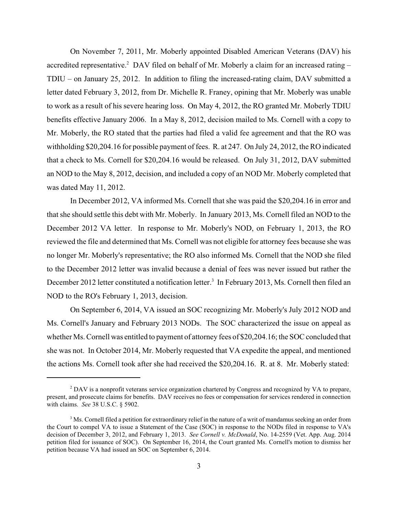On November 7, 2011, Mr. Moberly appointed Disabled American Veterans (DAV) his accredited representative.<sup>2</sup> DAV filed on behalf of Mr. Moberly a claim for an increased rating  $-$ TDIU – on January 25, 2012. In addition to filing the increased-rating claim, DAV submitted a letter dated February 3, 2012, from Dr. Michelle R. Franey, opining that Mr. Moberly was unable to work as a result of his severe hearing loss. On May 4, 2012, the RO granted Mr. Moberly TDIU benefits effective January 2006. In a May 8, 2012, decision mailed to Ms. Cornell with a copy to Mr. Moberly, the RO stated that the parties had filed a valid fee agreement and that the RO was withholding \$20,204.16 for possible payment of fees. R. at 247. On July 24, 2012, the RO indicated that a check to Ms. Cornell for \$20,204.16 would be released. On July 31, 2012, DAV submitted an NOD to the May 8, 2012, decision, and included a copy of an NOD Mr. Moberly completed that was dated May 11, 2012.

In December 2012, VA informed Ms. Cornell that she was paid the \$20,204.16 in error and that she should settle this debt with Mr. Moberly. In January 2013, Ms. Cornell filed an NOD to the December 2012 VA letter. In response to Mr. Moberly's NOD, on February 1, 2013, the RO reviewed the file and determined that Ms. Cornell was not eligible for attorney fees because she was no longer Mr. Moberly's representative; the RO also informed Ms. Cornell that the NOD she filed to the December 2012 letter was invalid because a denial of fees was never issued but rather the December 2012 letter constituted a notification letter.<sup>3</sup> In February 2013, Ms. Cornell then filed an NOD to the RO's February 1, 2013, decision.

On September 6, 2014, VA issued an SOC recognizing Mr. Moberly's July 2012 NOD and Ms. Cornell's January and February 2013 NODs. The SOC characterized the issue on appeal as whether Ms. Cornell was entitled to payment of attorney fees of \$20,204.16; the SOC concluded that she was not. In October 2014, Mr. Moberly requested that VA expedite the appeal, and mentioned the actions Ms. Cornell took after she had received the \$20,204.16. R. at 8. Mr. Moberly stated:

<sup>&</sup>lt;sup>2</sup> DAV is a nonprofit veterans service organization chartered by Congress and recognized by VA to prepare, present, and prosecute claims for benefits. DAV receives no fees or compensation for services rendered in connection with claims. *See* 38 U.S.C. § 5902.

<sup>&</sup>lt;sup>3</sup> Ms. Cornell filed a petition for extraordinary relief in the nature of a writ of mandamus seeking an order from the Court to compel VA to issue a Statement of the Case (SOC) in response to the NODs filed in response to VA's decision of December 3, 2012, and February 1, 2013. *See Cornell v. McDonald*, No. 14-2559 (Vet. App. Aug. 2014 petition filed for issuance of SOC). On September 16, 2014, the Court granted Ms. Cornell's motion to dismiss her petition because VA had issued an SOC on September 6, 2014.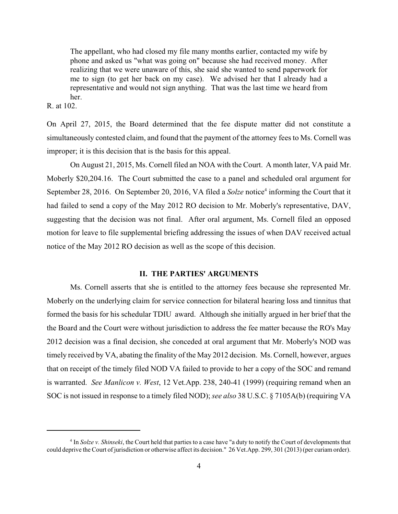The appellant, who had closed my file many months earlier, contacted my wife by phone and asked us "what was going on" because she had received money. After realizing that we were unaware of this, she said she wanted to send paperwork for me to sign (to get her back on my case). We advised her that I already had a representative and would not sign anything. That was the last time we heard from her.

R. at 102.

On April 27, 2015, the Board determined that the fee dispute matter did not constitute a simultaneously contested claim, and found that the payment of the attorney fees to Ms. Cornell was improper; it is this decision that is the basis for this appeal.

On August 21, 2015, Ms. Cornell filed an NOA with the Court. A month later, VA paid Mr. Moberly \$20,204.16. The Court submitted the case to a panel and scheduled oral argument for September 28, 2016. On September 20, 2016, VA filed a *Solze* notice<sup>4</sup> informing the Court that it had failed to send a copy of the May 2012 RO decision to Mr. Moberly's representative, DAV, suggesting that the decision was not final. After oral argument, Ms. Cornell filed an opposed motion for leave to file supplemental briefing addressing the issues of when DAV received actual notice of the May 2012 RO decision as well as the scope of this decision.

### **II. THE PARTIES' ARGUMENTS**

Ms. Cornell asserts that she is entitled to the attorney fees because she represented Mr. Moberly on the underlying claim for service connection for bilateral hearing loss and tinnitus that formed the basis for his schedular TDIU award. Although she initially argued in her brief that the the Board and the Court were without jurisdiction to address the fee matter because the RO's May 2012 decision was a final decision, she conceded at oral argument that Mr. Moberly's NOD was timely received by VA, abating the finality of the May 2012 decision. Ms. Cornell, however, argues that on receipt of the timely filed NOD VA failed to provide to her a copy of the SOC and remand is warranted. *See Manlicon v. West*, 12 Vet.App. 238, 240-41 (1999) (requiring remand when an SOC is not issued in response to a timely filed NOD); *see also* 38 U.S.C. § 7105A(b) (requiring VA

<sup>&</sup>lt;sup>4</sup> In *Solze v. Shinseki*, the Court held that parties to a case have "a duty to notify the Court of developments that could deprive the Court of jurisdiction or otherwise affect its decision." 26 Vet.App. 299, 301 (2013) (per curiam order).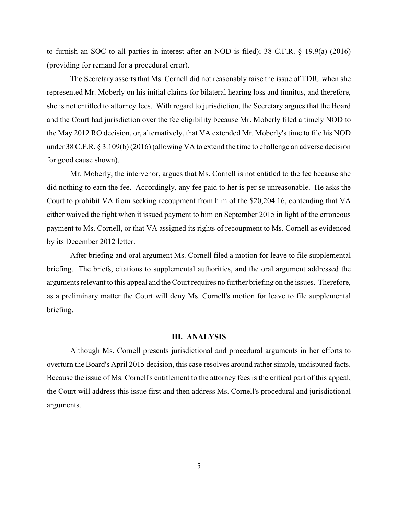to furnish an SOC to all parties in interest after an NOD is filed); 38 C.F.R. § 19.9(a) (2016) (providing for remand for a procedural error).

The Secretary asserts that Ms. Cornell did not reasonably raise the issue of TDIU when she represented Mr. Moberly on his initial claims for bilateral hearing loss and tinnitus, and therefore, she is not entitled to attorney fees. With regard to jurisdiction, the Secretary argues that the Board and the Court had jurisdiction over the fee eligibility because Mr. Moberly filed a timely NOD to the May 2012 RO decision, or, alternatively, that VA extended Mr. Moberly's time to file his NOD under 38 C.F.R. § 3.109(b) (2016) (allowing VA to extend the time to challenge an adverse decision for good cause shown).

Mr. Moberly, the intervenor, argues that Ms. Cornell is not entitled to the fee because she did nothing to earn the fee. Accordingly, any fee paid to her is per se unreasonable. He asks the Court to prohibit VA from seeking recoupment from him of the \$20,204.16, contending that VA either waived the right when it issued payment to him on September 2015 in light of the erroneous payment to Ms. Cornell, or that VA assigned its rights of recoupment to Ms. Cornell as evidenced by its December 2012 letter.

After briefing and oral argument Ms. Cornell filed a motion for leave to file supplemental briefing. The briefs, citations to supplemental authorities, and the oral argument addressed the arguments relevant to this appeal and the Court requires no further briefing on the issues. Therefore, as a preliminary matter the Court will deny Ms. Cornell's motion for leave to file supplemental briefing.

#### **III. ANALYSIS**

Although Ms. Cornell presents jurisdictional and procedural arguments in her efforts to overturn the Board's April 2015 decision, this case resolves around rather simple, undisputed facts. Because the issue of Ms. Cornell's entitlement to the attorney fees is the critical part of this appeal, the Court will address this issue first and then address Ms. Cornell's procedural and jurisdictional arguments.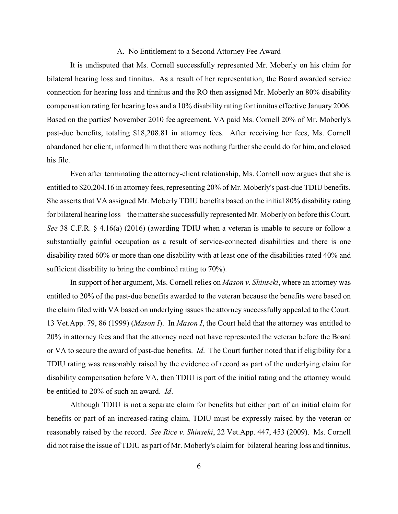#### A. No Entitlement to a Second Attorney Fee Award

It is undisputed that Ms. Cornell successfully represented Mr. Moberly on his claim for bilateral hearing loss and tinnitus. As a result of her representation, the Board awarded service connection for hearing loss and tinnitus and the RO then assigned Mr. Moberly an 80% disability compensation rating for hearing loss and a 10% disability rating for tinnitus effective January 2006. Based on the parties' November 2010 fee agreement, VA paid Ms. Cornell 20% of Mr. Moberly's past-due benefits, totaling \$18,208.81 in attorney fees. After receiving her fees, Ms. Cornell abandoned her client, informed him that there was nothing further she could do for him, and closed his file.

 Even after terminating the attorney-client relationship, Ms. Cornell now argues that she is entitled to \$20,204.16 in attorney fees, representing 20% of Mr. Moberly's past-due TDIU benefits. She asserts that VA assigned Mr. Moberly TDIU benefits based on the initial 80% disability rating for bilateral hearing loss – the matter she successfully represented Mr. Moberly on before this Court. *See* 38 C.F.R. § 4.16(a) (2016) (awarding TDIU when a veteran is unable to secure or follow a substantially gainful occupation as a result of service-connected disabilities and there is one disability rated 60% or more than one disability with at least one of the disabilities rated 40% and sufficient disability to bring the combined rating to 70%).

In support of her argument, Ms. Cornell relies on *Mason v. Shinseki*, where an attorney was entitled to 20% of the past-due benefits awarded to the veteran because the benefits were based on the claim filed with VA based on underlying issues the attorney successfully appealed to the Court. 13 Vet.App. 79, 86 (1999) (*Mason I*). In *Mason I*, the Court held that the attorney was entitled to 20% in attorney fees and that the attorney need not have represented the veteran before the Board or VA to secure the award of past-due benefits. *Id*. The Court further noted that if eligibility for a TDIU rating was reasonably raised by the evidence of record as part of the underlying claim for disability compensation before VA, then TDIU is part of the initial rating and the attorney would be entitled to 20% of such an award. *Id*.

Although TDIU is not a separate claim for benefits but either part of an initial claim for benefits or part of an increased-rating claim, TDIU must be expressly raised by the veteran or reasonably raised by the record. *See Rice v. Shinseki*, 22 Vet.App. 447, 453 (2009). Ms. Cornell did not raise the issue of TDIU as part of Mr. Moberly's claim for bilateral hearing loss and tinnitus,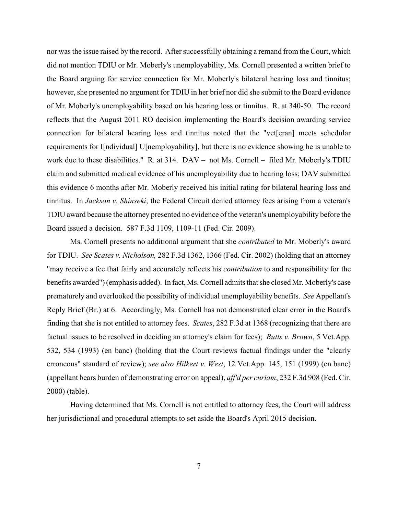nor was the issue raised by the record. After successfully obtaining a remand from the Court, which did not mention TDIU or Mr. Moberly's unemployability, Ms. Cornell presented a written brief to the Board arguing for service connection for Mr. Moberly's bilateral hearing loss and tinnitus; however, she presented no argument for TDIU in her brief nor did she submit to the Board evidence of Mr. Moberly's unemployability based on his hearing loss or tinnitus. R. at 340-50. The record reflects that the August 2011 RO decision implementing the Board's decision awarding service connection for bilateral hearing loss and tinnitus noted that the "vet[eran] meets schedular requirements for I[ndividual] U[nemployability], but there is no evidence showing he is unable to work due to these disabilities." R. at 314. DAV – not Ms. Cornell – filed Mr. Moberly's TDIU claim and submitted medical evidence of his unemployability due to hearing loss; DAV submitted this evidence 6 months after Mr. Moberly received his initial rating for bilateral hearing loss and tinnitus. In *Jackson v. Shinseki*, the Federal Circuit denied attorney fees arising from a veteran's TDIU award because the attorney presented no evidence of the veteran's unemployability before the Board issued a decision. 587 F.3d 1109, 1109-11 (Fed. Cir. 2009).

Ms. Cornell presents no additional argument that she *contributed* to Mr. Moberly's award for TDIU. *See Scates v. Nicholson,* 282 F.3d 1362, 1366 (Fed. Cir. 2002) (holding that an attorney "may receive a fee that fairly and accurately reflects his *contribution* to and responsibility for the benefits awarded") (emphasis added). In fact, Ms. Cornell admits that she closed Mr. Moberly's case prematurely and overlooked the possibility of individual unemployability benefits. *See* Appellant's Reply Brief (Br.) at 6. Accordingly, Ms. Cornell has not demonstrated clear error in the Board's finding that she is not entitled to attorney fees. *Scates*, 282 F.3d at 1368 (recognizing that there are factual issues to be resolved in deciding an attorney's claim for fees); *Butts v. Brown*, 5 Vet.App. 532, 534 (1993) (en banc) (holding that the Court reviews factual findings under the "clearly erroneous" standard of review); *see also Hilkert v. West*, 12 Vet.App. 145, 151 (1999) (en banc) (appellant bears burden of demonstrating error on appeal), *aff'd per curiam*, 232 F.3d 908 (Fed. Cir. 2000) (table).

Having determined that Ms. Cornell is not entitled to attorney fees, the Court will address her jurisdictional and procedural attempts to set aside the Board's April 2015 decision.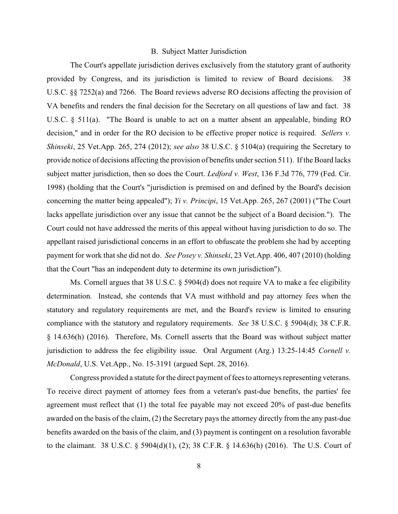#### B. Subject Matter Jurisdiction

The Court's appellate jurisdiction derives exclusively from the statutory grant of authority provided by Congress, and its jurisdiction is limited to review of Board decisions. 38 U.S.C. §§ 7252(a) and 7266. The Board reviews adverse RO decisions affecting the provision of VA benefits and renders the final decision for the Secretary on all questions of law and fact. 38 U.S.C. § 511(a). "The Board is unable to act on a matter absent an appealable, binding RO decision," and in order for the RO decision to be effective proper notice is required. *Sellers v. Shinseki*, 25 Vet.App. 265, 274 (2012); *see also* 38 U.S.C. § 5104(a) (requiring the Secretary to provide notice of decisions affecting the provision of benefits under section 511). If the Board lacks subject matter jurisdiction, then so does the Court. *Ledford v. West*, 136 F.3d 776, 779 (Fed. Cir. 1998) (holding that the Court's "jurisdiction is premised on and defined by the Board's decision concerning the matter being appealed"); *Yi v. Principi*, 15 Vet.App. 265, 267 (2001) ("The Court lacks appellate jurisdiction over any issue that cannot be the subject of a Board decision."). The Court could not have addressed the merits of this appeal without having jurisdiction to do so. The appellant raised jurisdictional concerns in an effort to obfuscate the problem she had by accepting payment for work that she did not do. *See Posey v. Shinseki*, 23 Vet.App. 406, 407 (2010) (holding that the Court "has an independent duty to determine its own jurisdiction").

Ms. Cornell argues that 38 U.S.C. § 5904(d) does not require VA to make a fee eligibility determination. Instead, she contends that VA must withhold and pay attorney fees when the statutory and regulatory requirements are met, and the Board's review is limited to ensuring compliance with the statutory and regulatory requirements. *See* 38 U.S.C. § 5904(d); 38 C.F.R. § 14.636(h) (2016). Therefore, Ms. Cornell asserts that the Board was without subject matter jurisdiction to address the fee eligibility issue. Oral Argument (Arg.) 13:25-14:45 *Cornell v. McDonald*, U.S. Vet.App., No. 15-3191 (argued Sept. 28, 2016).

Congress provided a statute for the direct payment of fees to attorneys representing veterans. To receive direct payment of attorney fees from a veteran's past-due benefits, the parties' fee agreement must reflect that (1) the total fee payable may not exceed 20% of past-due benefits awarded on the basis of the claim, (2) the Secretary pays the attorney directly from the any past-due benefits awarded on the basis of the claim, and (3) payment is contingent on a resolution favorable to the claimant. 38 U.S.C. § 5904(d)(1), (2); 38 C.F.R. § 14.636(h) (2016). The U.S. Court of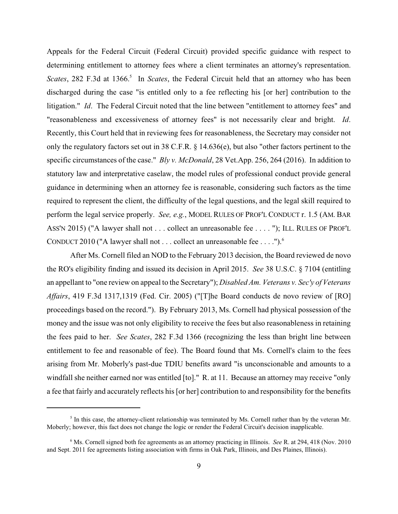Appeals for the Federal Circuit (Federal Circuit) provided specific guidance with respect to determining entitlement to attorney fees where a client terminates an attorney's representation. *Scates*, 282 F.3d at 1366.<sup>5</sup> In *Scates*, the Federal Circuit held that an attorney who has been discharged during the case "is entitled only to a fee reflecting his [or her] contribution to the litigation." *Id*. The Federal Circuit noted that the line between "entitlement to attorney fees" and "reasonableness and excessiveness of attorney fees" is not necessarily clear and bright. *Id*. Recently, this Court held that in reviewing fees for reasonableness, the Secretary may consider not only the regulatory factors set out in 38 C.F.R. § 14.636(e), but also "other factors pertinent to the specific circumstances of the case." *Bly v. McDonald*, 28 Vet.App. 256, 264 (2016). In addition to statutory law and interpretative caselaw, the model rules of professional conduct provide general guidance in determining when an attorney fee is reasonable, considering such factors as the time required to represent the client, the difficulty of the legal questions, and the legal skill required to perform the legal service properly. *See, e.g.*, MODEL RULES OF PROF'L CONDUCT r. 1.5 (AM. BAR ASS'N 2015) ("A lawyer shall not . . . collect an unreasonable fee . . . . "); ILL. RULES OF PROF'L CONDUCT 2010 ("A lawyer shall not . . . collect an unreasonable fee . . . .").<sup>6</sup>

After Ms. Cornell filed an NOD to the February 2013 decision, the Board reviewed de novo the RO's eligibility finding and issued its decision in April 2015. *See* 38 U.S.C. § 7104 (entitling an appellant to "one review on appeal to the Secretary"); *Disabled Am. Veterans v. Sec'y of Veterans Affairs*, 419 F.3d 1317,1319 (Fed. Cir. 2005) ("[T]he Board conducts de novo review of [RO] proceedings based on the record."). By February 2013, Ms. Cornell had physical possession of the money and the issue was not only eligibility to receive the fees but also reasonableness in retaining the fees paid to her. *See Scates*, 282 F.3d 1366 (recognizing the less than bright line between entitlement to fee and reasonable of fee). The Board found that Ms. Cornell's claim to the fees arising from Mr. Moberly's past-due TDIU benefits award "is unconscionable and amounts to a windfall she neither earned nor was entitled [to]." R. at 11. Because an attorney may receive "only a fee that fairly and accurately reflects his [or her] contribution to and responsibility for the benefits

 $\delta$  In this case, the attorney-client relationship was terminated by Ms. Cornell rather than by the veteran Mr. Moberly; however, this fact does not change the logic or render the Federal Circuit's decision inapplicable.

 $6$  Ms. Cornell signed both fee agreements as an attorney practicing in Illinois. *See* R. at 294, 418 (Nov. 2010) and Sept. 2011 fee agreements listing association with firms in Oak Park, Illinois, and Des Plaines, Illinois).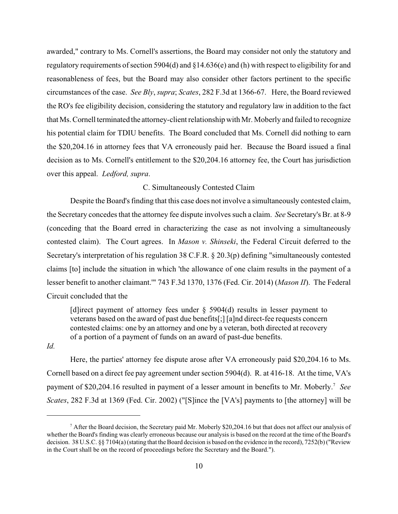awarded," contrary to Ms. Cornell's assertions, the Board may consider not only the statutory and regulatory requirements of section 5904(d) and  $\S 14.636(e)$  and (h) with respect to eligibility for and reasonableness of fees, but the Board may also consider other factors pertinent to the specific circumstances of the case. *See Bly*, *supra*; *Scates*, 282 F.3d at 1366-67. Here, the Board reviewed the RO's fee eligibility decision, considering the statutory and regulatory law in addition to the fact that Ms.Cornell terminated the attorney-client relationship with Mr. Moberly and failed to recognize his potential claim for TDIU benefits. The Board concluded that Ms. Cornell did nothing to earn the \$20,204.16 in attorney fees that VA erroneously paid her. Because the Board issued a final decision as to Ms. Cornell's entitlement to the \$20,204.16 attorney fee, the Court has jurisdiction over this appeal. *Ledford, supra*.

## C. Simultaneously Contested Claim

Despite the Board's finding that this case does not involve a simultaneously contested claim, the Secretary concedes that the attorney fee dispute involves such a claim. *See* Secretary's Br. at 8-9 (conceding that the Board erred in characterizing the case as not involving a simultaneously contested claim). The Court agrees. In *Mason v. Shinseki*, the Federal Circuit deferred to the Secretary's interpretation of his regulation 38 C.F.R. § 20.3(p) defining "simultaneously contested claims [to] include the situation in which 'the allowance of one claim results in the payment of a lesser benefit to another claimant.'" 743 F.3d 1370, 1376 (Fed. Cir. 2014) (*Mason II*). The Federal Circuit concluded that the

[d]irect payment of attorney fees under  $\S$  5904(d) results in lesser payment to veterans based on the award of past due benefits[;] [a]nd direct-fee requests concern contested claims: one by an attorney and one by a veteran, both directed at recovery of a portion of a payment of funds on an award of past-due benefits.

*Id.*

Here, the parties' attorney fee dispute arose after VA erroneously paid \$20,204.16 to Ms. Cornell based on a direct fee pay agreement under section 5904(d). R. at 416-18. At the time, VA's payment of \$20,204.16 resulted in payment of a lesser amount in benefits to Mr. Moberly.<sup>7</sup> See *Scates*, 282 F.3d at 1369 (Fed. Cir. 2002) ("[S]ince the [VA's] payments to [the attorney] will be

 $^7$  After the Board decision, the Secretary paid Mr. Moberly \$20,204.16 but that does not affect our analysis of whether the Board's finding was clearly erroneous because our analysis is based on the record at the time of the Board's decision. 38 U.S.C. §§ 7104(a) (stating that the Board decision is based on the evidence in the record), 7252(b) ("Review in the Court shall be on the record of proceedings before the Secretary and the Board.").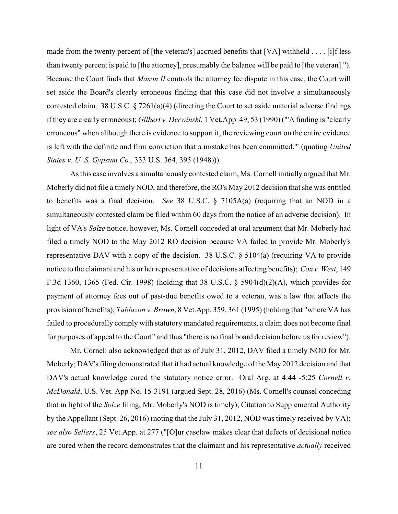made from the twenty percent of [the veteran's] accrued benefits that [VA] withheld . . . . [i]f less than twenty percent is paid to [the attorney], presumably the balance will be paid to [the veteran]."). Because the Court finds that *Mason II* controls the attorney fee dispute in this case, the Court will set aside the Board's clearly erroneous finding that this case did not involve a simultaneously contested claim. 38 U.S.C.  $\S 7261(a)(4)$  (directing the Court to set aside material adverse findings if they are clearly erroneous); *Gilbert v. Derwinski*, 1 Vet.App. 49, 53 (1990) ("'A finding is "clearly erroneous" when although there is evidence to support it, the reviewing court on the entire evidence is left with the definite and firm conviction that a mistake has been committed.'" (quoting *United States v. U .S. Gypsum Co.*, 333 U.S. 364, 395 (1948))).

As this case involves a simultaneously contested claim, Ms. Cornell initially argued that Mr. Moberly did not file a timely NOD, and therefore, the RO's May 2012 decision that she was entitled to benefits was a final decision. *See* 38 U.S.C. § 7105A(a) (requiring that an NOD in a simultaneously contested claim be filed within 60 days from the notice of an adverse decision). In light of VA's *Solze* notice, however, Ms. Cornell conceded at oral argument that Mr. Moberly had filed a timely NOD to the May 2012 RO decision because VA failed to provide Mr. Moberly's representative DAV with a copy of the decision. 38 U.S.C. § 5104(a) (requiring VA to provide notice to the claimant and his or her representative of decisions affecting benefits); *Cox v. West*, 149 F.3d 1360, 1365 (Fed. Cir. 1998) (holding that 38 U.S.C. § 5904(d)(2)(A), which provides for payment of attorney fees out of past-due benefits owed to a veteran, was a law that affects the provision of benefits); *Tablazon v. Brown*, 8 Vet.App. 359, 361 (1995) (holding that "where VA has failed to procedurally comply with statutory mandated requirements, a claim does not become final for purposes of appeal to the Court" and thus "there is no final board decision before us for review").

Mr. Cornell also acknowledged that as of July 31, 2012, DAV filed a timely NOD for Mr. Moberly; DAV's filing demonstrated that it had actual knowledge of the May 2012 decision and that DAV's actual knowledge cured the statutory notice error. Oral Arg. at 4:44 -5:25 *Cornell v. McDonald*, U.S. Vet. App No. 15-3191 (argued Sept. 28, 2016) (Ms. Cornell's counsel conceding that in light of the *Solze* filing, Mr. Moberly's NOD is timely); Citation to Supplemental Authority by the Appellant (Sept. 26, 2016) (noting that the July 31, 2012, NOD was timely received by VA); *see also Sellers*, 25 Vet.App. at 277 ("[O]ur caselaw makes clear that defects of decisional notice are cured when the record demonstrates that the claimant and his representative *actually* received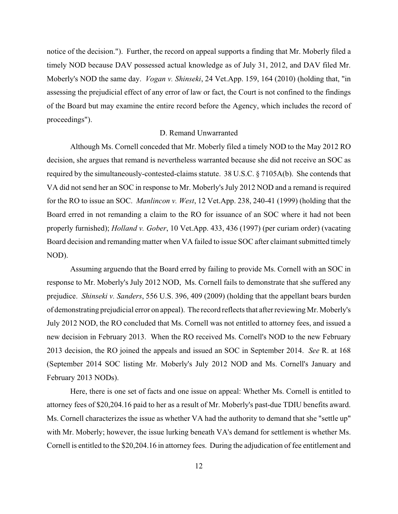notice of the decision."). Further, the record on appeal supports a finding that Mr. Moberly filed a timely NOD because DAV possessed actual knowledge as of July 31, 2012, and DAV filed Mr. Moberly's NOD the same day. *Vogan v. Shinseki*, 24 Vet.App. 159, 164 (2010) (holding that, "in assessing the prejudicial effect of any error of law or fact, the Court is not confined to the findings of the Board but may examine the entire record before the Agency, which includes the record of proceedings").

## D. Remand Unwarranted

Although Ms. Cornell conceded that Mr. Moberly filed a timely NOD to the May 2012 RO decision, she argues that remand is nevertheless warranted because she did not receive an SOC as required by the simultaneously-contested-claims statute. 38 U.S.C. § 7105A(b). She contends that VA did not send her an SOC in response to Mr. Moberly's July 2012 NOD and a remand is required for the RO to issue an SOC. *Manlincon v. West*, 12 Vet.App. 238, 240-41 (1999) (holding that the Board erred in not remanding a claim to the RO for issuance of an SOC where it had not been properly furnished); *Holland v. Gober*, 10 Vet.App. 433, 436 (1997) (per curiam order) (vacating Board decision and remanding matter when VA failed to issue SOC after claimant submitted timely NOD).

Assuming arguendo that the Board erred by failing to provide Ms. Cornell with an SOC in response to Mr. Moberly's July 2012 NOD, Ms. Cornell fails to demonstrate that she suffered any prejudice. *Shinseki v. Sanders*, 556 U.S. 396, 409 (2009) (holding that the appellant bears burden of demonstrating prejudicial error on appeal). The record reflects that after reviewing Mr. Moberly's July 2012 NOD, the RO concluded that Ms. Cornell was not entitled to attorney fees, and issued a new decision in February 2013. When the RO received Ms. Cornell's NOD to the new February 2013 decision, the RO joined the appeals and issued an SOC in September 2014. *See* R. at 168 (September 2014 SOC listing Mr. Moberly's July 2012 NOD and Ms. Cornell's January and February 2013 NODs).

Here, there is one set of facts and one issue on appeal: Whether Ms. Cornell is entitled to attorney fees of \$20,204.16 paid to her as a result of Mr. Moberly's past-due TDIU benefits award. Ms. Cornell characterizes the issue as whether VA had the authority to demand that she "settle up" with Mr. Moberly; however, the issue lurking beneath VA's demand for settlement is whether Ms. Cornell is entitled to the \$20,204.16 in attorney fees. During the adjudication of fee entitlement and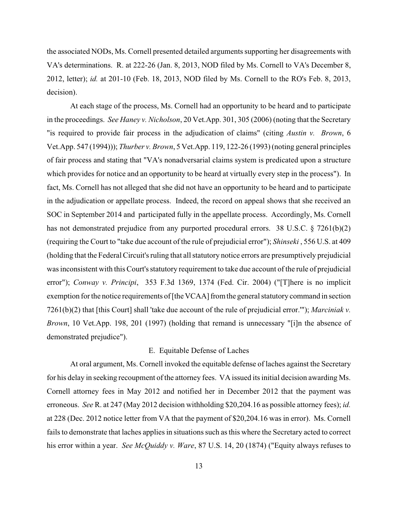the associated NODs, Ms. Cornell presented detailed arguments supporting her disagreements with VA's determinations. R. at 222-26 (Jan. 8, 2013, NOD filed by Ms. Cornell to VA's December 8, 2012, letter); *id.* at 201-10 (Feb. 18, 2013, NOD filed by Ms. Cornell to the RO's Feb. 8, 2013, decision).

At each stage of the process, Ms. Cornell had an opportunity to be heard and to participate in the proceedings. *See Haney v. Nicholson*, 20 Vet.App. 301, 305 (2006) (noting that the Secretary "is required to provide fair process in the adjudication of claims" (citing *Austin v. Brown*, 6 Vet.App. 547 (1994))); *Thurber v. Brown*, 5 Vet.App. 119, 122-26 (1993) (noting general principles of fair process and stating that "VA's nonadversarial claims system is predicated upon a structure which provides for notice and an opportunity to be heard at virtually every step in the process"). In fact, Ms. Cornell has not alleged that she did not have an opportunity to be heard and to participate in the adjudication or appellate process. Indeed, the record on appeal shows that she received an SOC in September 2014 and participated fully in the appellate process. Accordingly, Ms. Cornell has not demonstrated prejudice from any purported procedural errors. 38 U.S.C. § 7261(b)(2) (requiring the Court to "take due account of the rule of prejudicial error"); *Shinseki* , 556 U.S. at 409 (holding that the Federal Circuit's ruling that all statutory notice errors are presumptively prejudicial was inconsistent with this Court's statutory requirement to take due account of the rule of prejudicial error"); *Conway v. Principi*, 353 F.3d 1369, 1374 (Fed. Cir. 2004) ("[T]here is no implicit exemption for the notice requirements of [the VCAA] from the general statutory command in section 7261(b)(2) that [this Court] shall 'take due account of the rule of prejudicial error.'"); *Marciniak v. Brown*, 10 Vet.App. 198, 201 (1997) (holding that remand is unnecessary "[i]n the absence of demonstrated prejudice").

# E. Equitable Defense of Laches

At oral argument, Ms. Cornell invoked the equitable defense of laches against the Secretary for his delay in seeking recoupment of the attorney fees. VA issued its initial decision awarding Ms. Cornell attorney fees in May 2012 and notified her in December 2012 that the payment was erroneous. *See* R. at 247 (May 2012 decision withholding \$20,204.16 as possible attorney fees); *id.* at 228 (Dec. 2012 notice letter from VA that the payment of \$20,204.16 was in error). Ms. Cornell fails to demonstrate that laches applies in situations such as this where the Secretary acted to correct his error within a year. *See McQuiddy v. Ware*, 87 U.S. 14, 20 (1874) ("Equity always refuses to